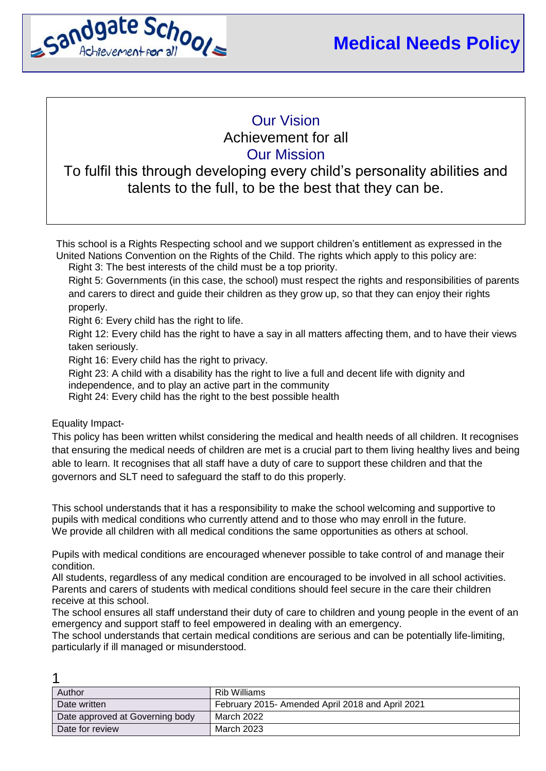

# Our Vision Achievement for all Our Mission

# To fulfil this through developing every child's personality abilities and talents to the full, to be the best that they can be.

This school is a Rights Respecting school and we support children's entitlement as expressed in the United Nations Convention on the Rights of the Child. The rights which apply to this policy are:

Right 3: The best interests of the child must be a top priority.

Right 5: Governments (in this case, the school) must respect the rights and responsibilities of parents and carers to direct and guide their children as they grow up, so that they can enjoy their rights properly.

Right 6: Every child has the right to life.

Right 12: Every child has the right to have a say in all matters affecting them, and to have their views taken seriously.

Right 16: Every child has the right to privacy.

Right 23: A child with a disability has the right to live a full and decent life with dignity and

independence, and to play an active part in the community

Right 24: Every child has the right to the best possible health

Equality Impact-

 $\overline{A}$ 

This policy has been written whilst considering the medical and health needs of all children. It recognises that ensuring the medical needs of children are met is a crucial part to them living healthy lives and being able to learn. It recognises that all staff have a duty of care to support these children and that the governors and SLT need to safeguard the staff to do this properly.

This school understands that it has a responsibility to make the school welcoming and supportive to pupils with medical conditions who currently attend and to those who may enroll in the future. We provide all children with all medical conditions the same opportunities as others at school.

Pupils with medical conditions are encouraged whenever possible to take control of and manage their condition.

All students, regardless of any medical condition are encouraged to be involved in all school activities. Parents and carers of students with medical conditions should feel secure in the care their children receive at this school.

The school ensures all staff understand their duty of care to children and young people in the event of an emergency and support staff to feel empowered in dealing with an emergency.

The school understands that certain medical conditions are serious and can be potentially life-limiting, particularly if ill managed or misunderstood.

| Author                          | Rib Williams                                     |
|---------------------------------|--------------------------------------------------|
| Date written                    | February 2015- Amended April 2018 and April 2021 |
| Date approved at Governing body | March 2022                                       |
| Date for review                 | March 2023                                       |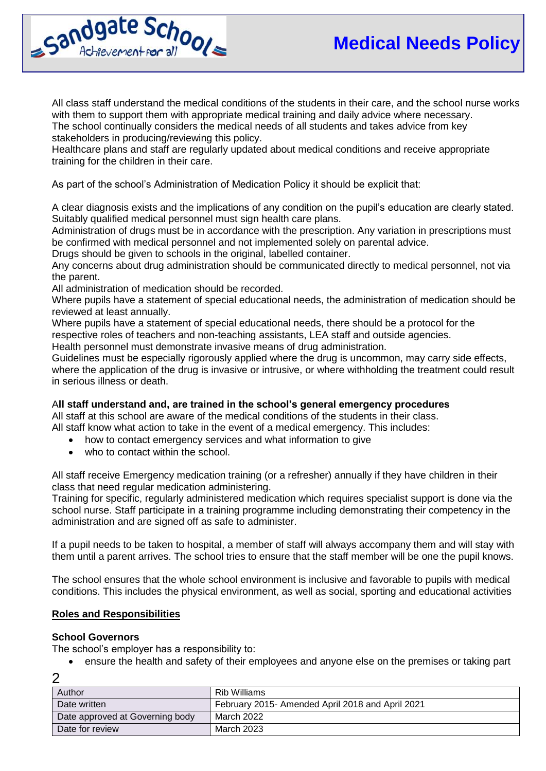

All class staff understand the medical conditions of the students in their care, and the school nurse works with them to support them with appropriate medical training and daily advice where necessary. The school continually considers the medical needs of all students and takes advice from key stakeholders in producing/reviewing this policy.

Healthcare plans and staff are regularly updated about medical conditions and receive appropriate training for the children in their care.

As part of the school's Administration of Medication Policy it should be explicit that:

A clear diagnosis exists and the implications of any condition on the pupil's education are clearly stated. Suitably qualified medical personnel must sign health care plans.

Administration of drugs must be in accordance with the prescription. Any variation in prescriptions must be confirmed with medical personnel and not implemented solely on parental advice.

Drugs should be given to schools in the original, labelled container.

Any concerns about drug administration should be communicated directly to medical personnel, not via the parent.

All administration of medication should be recorded.

Where pupils have a statement of special educational needs, the administration of medication should be reviewed at least annually.

Where pupils have a statement of special educational needs, there should be a protocol for the respective roles of teachers and non-teaching assistants, LEA staff and outside agencies. Health personnel must demonstrate invasive means of drug administration.

Guidelines must be especially rigorously applied where the drug is uncommon, may carry side effects, where the application of the drug is invasive or intrusive, or where withholding the treatment could result in serious illness or death.

#### A**ll staff understand and, are trained in the school's general emergency procedures**

All staff at this school are aware of the medical conditions of the students in their class. All staff know what action to take in the event of a medical emergency. This includes:

- how to contact emergency services and what information to give
- who to contact within the school.

All staff receive Emergency medication training (or a refresher) annually if they have children in their class that need regular medication administering.

Training for specific, regularly administered medication which requires specialist support is done via the school nurse. Staff participate in a training programme including demonstrating their competency in the administration and are signed off as safe to administer.

If a pupil needs to be taken to hospital, a member of staff will always accompany them and will stay with them until a parent arrives. The school tries to ensure that the staff member will be one the pupil knows.

The school ensures that the whole school environment is inclusive and favorable to pupils with medical conditions. This includes the physical environment, as well as social, sporting and educational activities

#### **Roles and Responsibilities**

#### **School Governors**

The school's employer has a responsibility to:

ensure the health and safety of their employees and anyone else on the premises or taking part

| Author                          | Rib Williams                                     |
|---------------------------------|--------------------------------------------------|
| Date written                    | February 2015- Amended April 2018 and April 2021 |
| Date approved at Governing body | March 2022                                       |
| Date for review                 | March 2023                                       |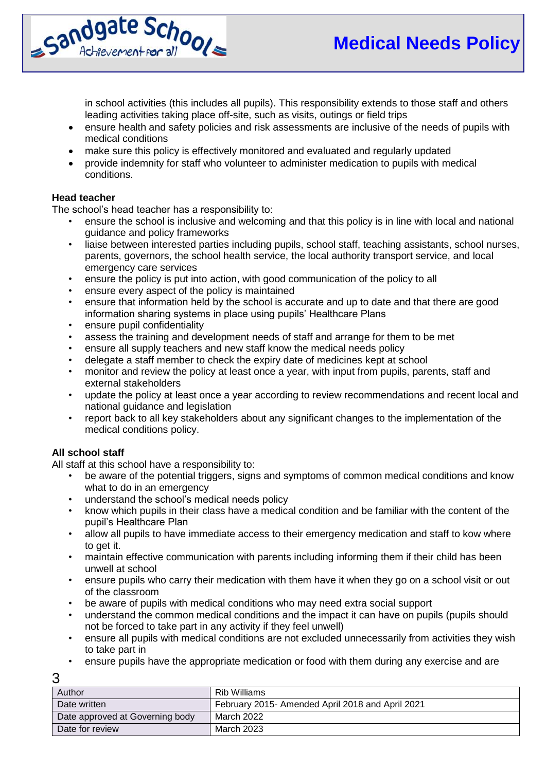

in school activities (this includes all pupils). This responsibility extends to those staff and others leading activities taking place off-site, such as visits, outings or field trips

- ensure health and safety policies and risk assessments are inclusive of the needs of pupils with medical conditions
- make sure this policy is effectively monitored and evaluated and regularly updated
- provide indemnity for staff who volunteer to administer medication to pupils with medical conditions.

## **Head teacher**

The school's head teacher has a responsibility to:

- ensure the school is inclusive and welcoming and that this policy is in line with local and national guidance and policy frameworks
- liaise between interested parties including pupils, school staff, teaching assistants, school nurses, parents, governors, the school health service, the local authority transport service, and local emergency care services
- ensure the policy is put into action, with good communication of the policy to all
- ensure every aspect of the policy is maintained
- ensure that information held by the school is accurate and up to date and that there are good information sharing systems in place using pupils' Healthcare Plans
- ensure pupil confidentiality
- assess the training and development needs of staff and arrange for them to be met
- ensure all supply teachers and new staff know the medical needs policy
- delegate a staff member to check the expiry date of medicines kept at school
- monitor and review the policy at least once a year, with input from pupils, parents, staff and external stakeholders
- update the policy at least once a year according to review recommendations and recent local and national guidance and legislation
- report back to all key stakeholders about any significant changes to the implementation of the medical conditions policy.

# **All school staff**

All staff at this school have a responsibility to:

- be aware of the potential triggers, signs and symptoms of common medical conditions and know what to do in an emergency
- understand the school's medical needs policy
- know which pupils in their class have a medical condition and be familiar with the content of the pupil's Healthcare Plan
- allow all pupils to have immediate access to their emergency medication and staff to kow where to get it.
- maintain effective communication with parents including informing them if their child has been unwell at school
- ensure pupils who carry their medication with them have it when they go on a school visit or out of the classroom
- be aware of pupils with medical conditions who may need extra social support
- understand the common medical conditions and the impact it can have on pupils (pupils should not be forced to take part in any activity if they feel unwell)
- ensure all pupils with medical conditions are not excluded unnecessarily from activities they wish to take part in
- ensure pupils have the appropriate medication or food with them during any exercise and are

| × | . .             |
|---|-----------------|
| × | - 11<br>ł<br>۰. |
|   | v               |

| Author                          | Rib Williams                                     |
|---------------------------------|--------------------------------------------------|
| Date written                    | February 2015- Amended April 2018 and April 2021 |
| Date approved at Governing body | March 2022                                       |
| Date for review                 | March 2023                                       |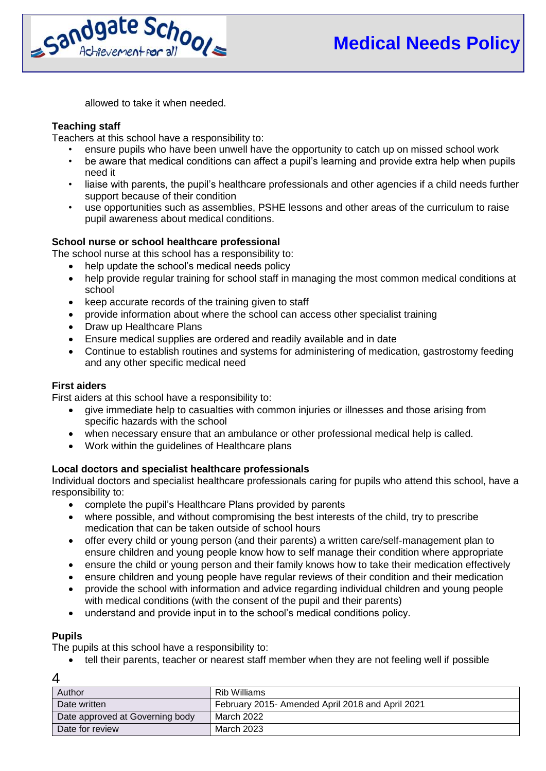

allowed to take it when needed.

## **Teaching staff**

Teachers at this school have a responsibility to:

- ensure pupils who have been unwell have the opportunity to catch up on missed school work
- be aware that medical conditions can affect a pupil's learning and provide extra help when pupils need it
- liaise with parents, the pupil's healthcare professionals and other agencies if a child needs further support because of their condition
- use opportunities such as assemblies, PSHE lessons and other areas of the curriculum to raise pupil awareness about medical conditions.

## **School nurse or school healthcare professional**

The school nurse at this school has a responsibility to:

- help update the school's medical needs policy
- help provide regular training for school staff in managing the most common medical conditions at school
- keep accurate records of the training given to staff
- provide information about where the school can access other specialist training
- Draw up Healthcare Plans
- Ensure medical supplies are ordered and readily available and in date
- Continue to establish routines and systems for administering of medication, gastrostomy feeding and any other specific medical need

#### **First aiders**

First aiders at this school have a responsibility to:

- give immediate help to casualties with common injuries or illnesses and those arising from specific hazards with the school
- when necessary ensure that an ambulance or other professional medical help is called.
- Work within the guidelines of Healthcare plans

# **Local doctors and specialist healthcare professionals**

Individual doctors and specialist healthcare professionals caring for pupils who attend this school, have a responsibility to:

- complete the pupil's Healthcare Plans provided by parents
- where possible, and without compromising the best interests of the child, try to prescribe medication that can be taken outside of school hours
- offer every child or young person (and their parents) a written care/self-management plan to ensure children and young people know how to self manage their condition where appropriate
- ensure the child or young person and their family knows how to take their medication effectively
- ensure children and young people have regular reviews of their condition and their medication
- provide the school with information and advice regarding individual children and young people with medical conditions (with the consent of the pupil and their parents)
- understand and provide input in to the school's medical conditions policy.

# **Pupils**

The pupils at this school have a responsibility to:

tell their parents, teacher or nearest staff member when they are not feeling well if possible

|--|

| Author                          | Rib Williams                                     |
|---------------------------------|--------------------------------------------------|
| Date written                    | February 2015- Amended April 2018 and April 2021 |
| Date approved at Governing body | March 2022                                       |
| Date for review                 | March 2023                                       |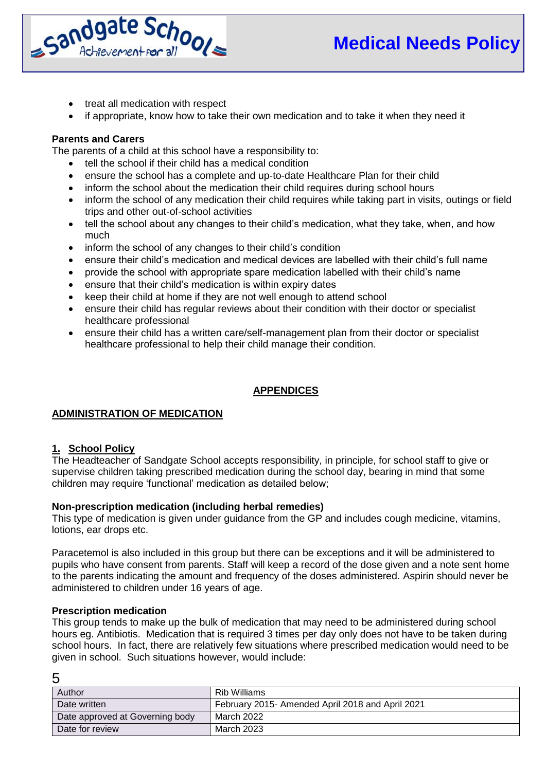

- treat all medication with respect
- if appropriate, know how to take their own medication and to take it when they need it

## **Parents and Carers**

The parents of a child at this school have a responsibility to:

- tell the school if their child has a medical condition
- ensure the school has a complete and up-to-date Healthcare Plan for their child
- inform the school about the medication their child requires during school hours
- inform the school of any medication their child requires while taking part in visits, outings or field trips and other out-of-school activities
- tell the school about any changes to their child's medication, what they take, when, and how much
- inform the school of any changes to their child's condition
- ensure their child's medication and medical devices are labelled with their child's full name
- provide the school with appropriate spare medication labelled with their child's name
- ensure that their child's medication is within expiry dates
- keep their child at home if they are not well enough to attend school
- ensure their child has regular reviews about their condition with their doctor or specialist healthcare professional
- ensure their child has a written care/self-management plan from their doctor or specialist healthcare professional to help their child manage their condition.

# **APPENDICES**

# **ADMINISTRATION OF MEDICATION**

# **1. School Policy**

The Headteacher of Sandgate School accepts responsibility, in principle, for school staff to give or supervise children taking prescribed medication during the school day, bearing in mind that some children may require 'functional' medication as detailed below;

#### **Non-prescription medication (including herbal remedies)**

This type of medication is given under guidance from the GP and includes cough medicine, vitamins, lotions, ear drops etc.

Paracetemol is also included in this group but there can be exceptions and it will be administered to pupils who have consent from parents. Staff will keep a record of the dose given and a note sent home to the parents indicating the amount and frequency of the doses administered. Aspirin should never be administered to children under 16 years of age.

#### **Prescription medication**

This group tends to make up the bulk of medication that may need to be administered during school hours eg. Antibiotis. Medication that is required 3 times per day only does not have to be taken during school hours. In fact, there are relatively few situations where prescribed medication would need to be given in school. Such situations however, would include:

| ł<br>I | . .                    |
|--------|------------------------|
| ×      | I<br>¢<br>ę<br>۰,<br>۹ |

| Author                          | Rib Williams                                     |
|---------------------------------|--------------------------------------------------|
| Date written                    | February 2015- Amended April 2018 and April 2021 |
| Date approved at Governing body | March 2022                                       |
| Date for review                 | March 2023                                       |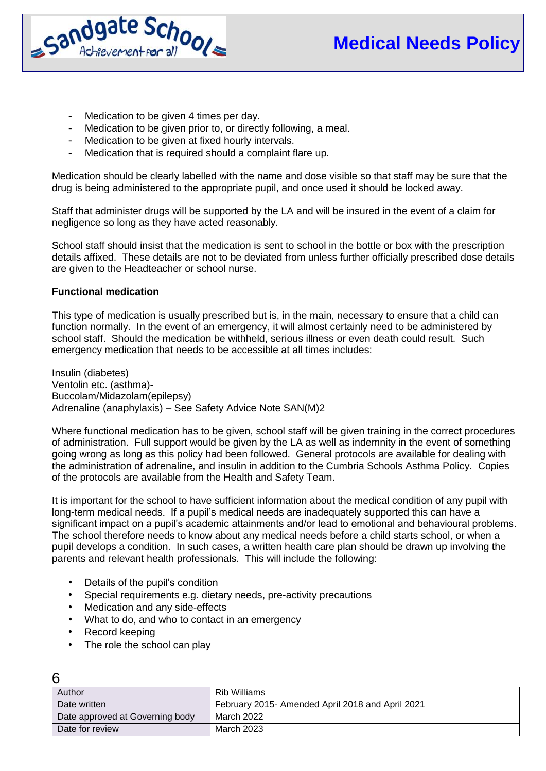

- Medication to be given 4 times per day.
- Medication to be given prior to, or directly following, a meal.
- Medication to be given at fixed hourly intervals.
- Medication that is required should a complaint flare up.

Medication should be clearly labelled with the name and dose visible so that staff may be sure that the drug is being administered to the appropriate pupil, and once used it should be locked away.

Staff that administer drugs will be supported by the LA and will be insured in the event of a claim for negligence so long as they have acted reasonably.

School staff should insist that the medication is sent to school in the bottle or box with the prescription details affixed. These details are not to be deviated from unless further officially prescribed dose details are given to the Headteacher or school nurse.

#### **Functional medication**

This type of medication is usually prescribed but is, in the main, necessary to ensure that a child can function normally. In the event of an emergency, it will almost certainly need to be administered by school staff. Should the medication be withheld, serious illness or even death could result. Such emergency medication that needs to be accessible at all times includes:

Insulin (diabetes) Ventolin etc. (asthma)- Buccolam/Midazolam(epilepsy) Adrenaline (anaphylaxis) – See Safety Advice Note SAN(M)2

Where functional medication has to be given, school staff will be given training in the correct procedures of administration. Full support would be given by the LA as well as indemnity in the event of something going wrong as long as this policy had been followed. General protocols are available for dealing with the administration of adrenaline, and insulin in addition to the Cumbria Schools Asthma Policy. Copies of the protocols are available from the Health and Safety Team.

It is important for the school to have sufficient information about the medical condition of any pupil with long-term medical needs. If a pupil's medical needs are inadequately supported this can have a significant impact on a pupil's academic attainments and/or lead to emotional and behavioural problems. The school therefore needs to know about any medical needs before a child starts school, or when a pupil develops a condition. In such cases, a written health care plan should be drawn up involving the parents and relevant health professionals. This will include the following:

- Details of the pupil's condition
- Special requirements e.g. dietary needs, pre-activity precautions
- Medication and any side-effects
- What to do, and who to contact in an emergency
- Record keeping

 $6\overline{6}$ 

• The role the school can play

| Author                          | Rib Williams                                     |
|---------------------------------|--------------------------------------------------|
| Date written                    | February 2015- Amended April 2018 and April 2021 |
| Date approved at Governing body | March 2022                                       |
| Date for review                 | March 2023                                       |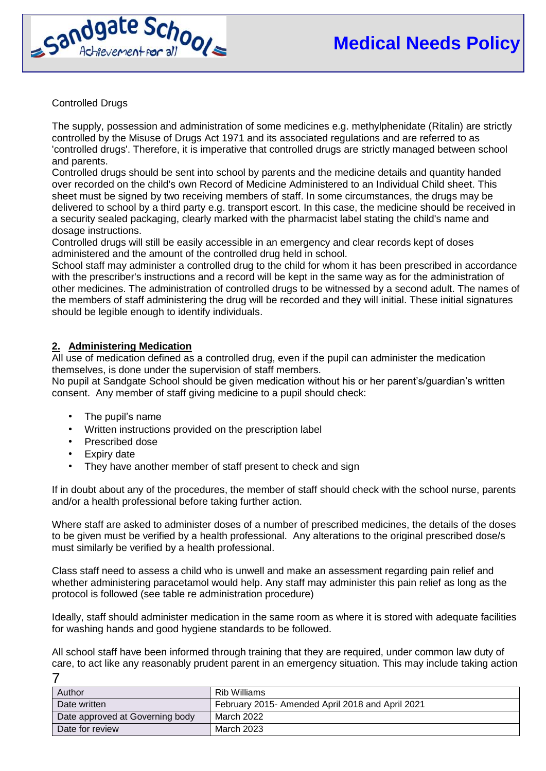

Controlled Drugs

The supply, possession and administration of some medicines e.g. methylphenidate (Ritalin) are strictly controlled by the Misuse of Drugs Act 1971 and its associated regulations and are referred to as 'controlled drugs'. Therefore, it is imperative that controlled drugs are strictly managed between school and parents.

Controlled drugs should be sent into school by parents and the medicine details and quantity handed over recorded on the child's own Record of Medicine Administered to an Individual Child sheet. This sheet must be signed by two receiving members of staff. In some circumstances, the drugs may be delivered to school by a third party e.g. transport escort. In this case, the medicine should be received in a security sealed packaging, clearly marked with the pharmacist label stating the child's name and dosage instructions.

Controlled drugs will still be easily accessible in an emergency and clear records kept of doses administered and the amount of the controlled drug held in school.

School staff may administer a controlled drug to the child for whom it has been prescribed in accordance with the prescriber's instructions and a record will be kept in the same way as for the administration of other medicines. The administration of controlled drugs to be witnessed by a second adult. The names of the members of staff administering the drug will be recorded and they will initial. These initial signatures should be legible enough to identify individuals.

# **2. Administering Medication**

All use of medication defined as a controlled drug, even if the pupil can administer the medication themselves, is done under the supervision of staff members.

No pupil at Sandgate School should be given medication without his or her parent's/guardian's written consent. Any member of staff giving medicine to a pupil should check:

- The pupil's name
- Written instructions provided on the prescription label
- Prescribed dose
- Expiry date
- They have another member of staff present to check and sign

If in doubt about any of the procedures, the member of staff should check with the school nurse, parents and/or a health professional before taking further action.

Where staff are asked to administer doses of a number of prescribed medicines, the details of the doses to be given must be verified by a health professional. Any alterations to the original prescribed dose/s must similarly be verified by a health professional.

Class staff need to assess a child who is unwell and make an assessment regarding pain relief and whether administering paracetamol would help. Any staff may administer this pain relief as long as the protocol is followed (see table re administration procedure)

Ideally, staff should administer medication in the same room as where it is stored with adequate facilities for washing hands and good hygiene standards to be followed.

7 All school staff have been informed through training that they are required, under common law duty of care, to act like any reasonably prudent parent in an emergency situation. This may include taking action

| Author                          | Rib Williams                                     |
|---------------------------------|--------------------------------------------------|
| Date written                    | February 2015- Amended April 2018 and April 2021 |
| Date approved at Governing body | March 2022                                       |
| Date for review                 | March 2023                                       |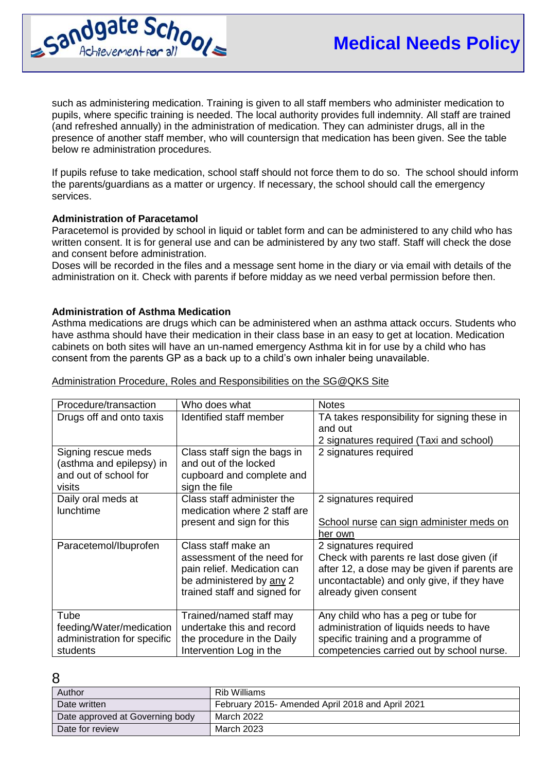

such as administering medication. Training is given to all staff members who administer medication to pupils, where specific training is needed. The local authority provides full indemnity. All staff are trained (and refreshed annually) in the administration of medication. They can administer drugs, all in the presence of another staff member, who will countersign that medication has been given. See the table below re administration procedures.

If pupils refuse to take medication, school staff should not force them to do so. The school should inform the parents/guardians as a matter or urgency. If necessary, the school should call the emergency services.

#### **Administration of Paracetamol**

Paracetemol is provided by school in liquid or tablet form and can be administered to any child who has written consent. It is for general use and can be administered by any two staff. Staff will check the dose and consent before administration.

Doses will be recorded in the files and a message sent home in the diary or via email with details of the administration on it. Check with parents if before midday as we need verbal permission before then.

#### **Administration of Asthma Medication**

Asthma medications are drugs which can be administered when an asthma attack occurs. Students who have asthma should have their medication in their class base in an easy to get at location. Medication cabinets on both sites will have an un-named emergency Asthma kit in for use by a child who has consent from the parents GP as a back up to a child's own inhaler being unavailable.

| Procedure/transaction       | Who does what                | <b>Notes</b>                                 |
|-----------------------------|------------------------------|----------------------------------------------|
| Drugs off and onto taxis    | Identified staff member      | TA takes responsibility for signing these in |
|                             |                              | and out                                      |
|                             |                              | 2 signatures required (Taxi and school)      |
| Signing rescue meds         | Class staff sign the bags in | 2 signatures required                        |
| (asthma and epilepsy) in    | and out of the locked        |                                              |
| and out of school for       | cupboard and complete and    |                                              |
| visits                      | sign the file                |                                              |
| Daily oral meds at          | Class staff administer the   | 2 signatures required                        |
| <b>lunchtime</b>            | medication where 2 staff are |                                              |
|                             | present and sign for this    | School nurse can sign administer meds on     |
|                             |                              | her own                                      |
| Paracetemol/Ibuprofen       | Class staff make an          | 2 signatures required                        |
|                             | assessment of the need for   | Check with parents re last dose given (if    |
|                             | pain relief. Medication can  | after 12, a dose may be given if parents are |
|                             | be administered by any 2     | uncontactable) and only give, if they have   |
|                             | trained staff and signed for | already given consent                        |
|                             |                              |                                              |
| Tube                        | Trained/named staff may      | Any child who has a peg or tube for          |
| feeding/Water/medication    | undertake this and record    | administration of liquids needs to have      |
| administration for specific | the procedure in the Daily   | specific training and a programme of         |
| students                    | Intervention Log in the      | competencies carried out by school nurse.    |

Administration Procedure, Roles and Responsibilities on the SG@QKS Site

|   | ۰<br>. . |              |  |
|---|----------|--------------|--|
|   |          |              |  |
|   |          |              |  |
| × | ۰.       | ٦<br>ī<br>۰. |  |

| Author                          | Rib Williams                                     |
|---------------------------------|--------------------------------------------------|
| Date written                    | February 2015- Amended April 2018 and April 2021 |
| Date approved at Governing body | March 2022                                       |
| Date for review                 | March 2023                                       |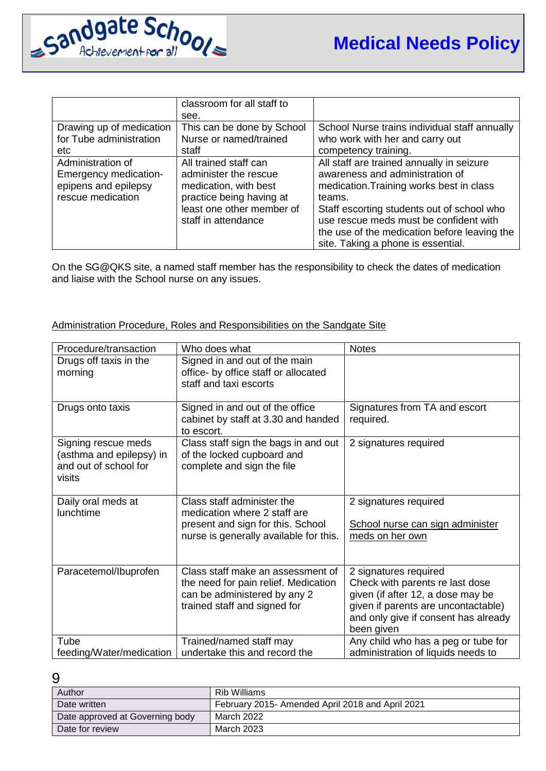

|                              | classroom for all staff to |                                               |
|------------------------------|----------------------------|-----------------------------------------------|
|                              | see.                       |                                               |
| Drawing up of medication     | This can be done by School | School Nurse trains individual staff annually |
| for Tube administration      | Nurse or named/trained     | who work with her and carry out               |
| etc.                         | staff                      | competency training.                          |
| Administration of            | All trained staff can      | All staff are trained annually in seizure     |
| <b>Emergency medication-</b> | administer the rescue      | awareness and administration of               |
| epipens and epilepsy         | medication, with best      | medication. Training works best in class      |
| rescue medication            | practice being having at   | teams.                                        |
|                              | least one other member of  | Staff escorting students out of school who    |
|                              | staff in attendance        | use rescue meds must be confident with        |
|                              |                            | the use of the medication before leaving the  |
|                              |                            | site. Taking a phone is essential.            |

On the SG@QKS site, a named staff member has the responsibility to check the dates of medication and liaise with the School nurse on any issues.

#### Administration Procedure, Roles and Responsibilities on the Sandgate Site

| Procedure/transaction                                                              | Who does what                                                                                                                             | <b>Notes</b>                                                                                                                                                                               |
|------------------------------------------------------------------------------------|-------------------------------------------------------------------------------------------------------------------------------------------|--------------------------------------------------------------------------------------------------------------------------------------------------------------------------------------------|
| Drugs off taxis in the<br>morning                                                  | Signed in and out of the main<br>office- by office staff or allocated<br>staff and taxi escorts                                           |                                                                                                                                                                                            |
| Drugs onto taxis                                                                   | Signed in and out of the office<br>cabinet by staff at 3.30 and handed<br>to escort.                                                      | Signatures from TA and escort<br>required.                                                                                                                                                 |
| Signing rescue meds<br>(asthma and epilepsy) in<br>and out of school for<br>visits | Class staff sign the bags in and out<br>of the locked cupboard and<br>complete and sign the file                                          | 2 signatures required                                                                                                                                                                      |
| Daily oral meds at<br>lunchtime                                                    | Class staff administer the<br>medication where 2 staff are<br>present and sign for this. School<br>nurse is generally available for this. | 2 signatures required<br>School nurse can sign administer<br>meds on her own                                                                                                               |
| Paracetemol/Ibuprofen                                                              | Class staff make an assessment of<br>the need for pain relief. Medication<br>can be administered by any 2<br>trained staff and signed for | 2 signatures required<br>Check with parents re last dose<br>given (if after 12, a dose may be<br>given if parents are uncontactable)<br>and only give if consent has already<br>been given |
| Tube<br>feeding/Water/medication                                                   | Trained/named staff may<br>undertake this and record the                                                                                  | Any child who has a peg or tube for<br>administration of liquids needs to                                                                                                                  |

| Author                          | Rib Williams                                     |
|---------------------------------|--------------------------------------------------|
| Date written                    | February 2015- Amended April 2018 and April 2021 |
| Date approved at Governing body | March 2022                                       |
| Date for review                 | March 2023                                       |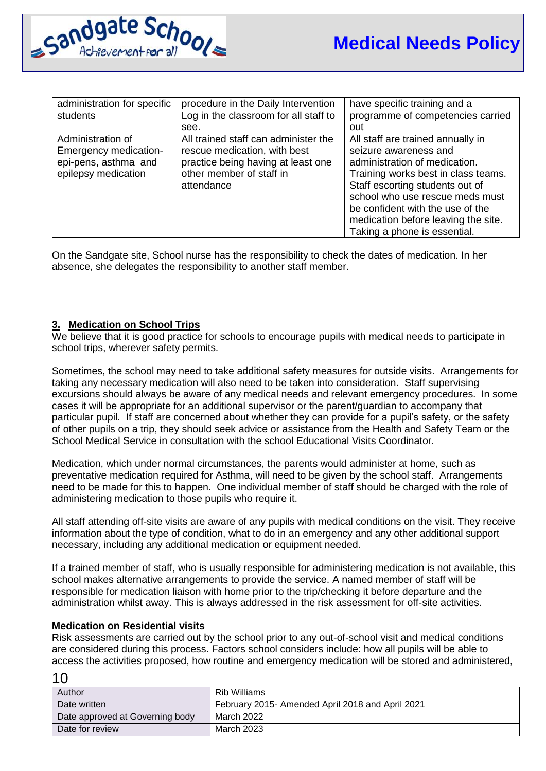

| administration for specific<br>students                                                          | procedure in the Daily Intervention<br>Log in the classroom for all staff to<br>see.                                                                 | have specific training and a<br>programme of competencies carried<br>out                                                                                                                                                                                                                                            |
|--------------------------------------------------------------------------------------------------|------------------------------------------------------------------------------------------------------------------------------------------------------|---------------------------------------------------------------------------------------------------------------------------------------------------------------------------------------------------------------------------------------------------------------------------------------------------------------------|
| Administration of<br><b>Emergency medication-</b><br>epi-pens, asthma and<br>epilepsy medication | All trained staff can administer the<br>rescue medication, with best<br>practice being having at least one<br>other member of staff in<br>attendance | All staff are trained annually in<br>seizure awareness and<br>administration of medication.<br>Training works best in class teams.<br>Staff escorting students out of<br>school who use rescue meds must<br>be confident with the use of the<br>medication before leaving the site.<br>Taking a phone is essential. |

On the Sandgate site, School nurse has the responsibility to check the dates of medication. In her absence, she delegates the responsibility to another staff member.

## **3. Medication on School Trips**

We believe that it is good practice for schools to encourage pupils with medical needs to participate in school trips, wherever safety permits.

Sometimes, the school may need to take additional safety measures for outside visits. Arrangements for taking any necessary medication will also need to be taken into consideration. Staff supervising excursions should always be aware of any medical needs and relevant emergency procedures. In some cases it will be appropriate for an additional supervisor or the parent/guardian to accompany that particular pupil. If staff are concerned about whether they can provide for a pupil's safety, or the safety of other pupils on a trip, they should seek advice or assistance from the Health and Safety Team or the School Medical Service in consultation with the school Educational Visits Coordinator.

Medication, which under normal circumstances, the parents would administer at home, such as preventative medication required for Asthma, will need to be given by the school staff. Arrangements need to be made for this to happen. One individual member of staff should be charged with the role of administering medication to those pupils who require it.

All staff attending off-site visits are aware of any pupils with medical conditions on the visit. They receive information about the type of condition, what to do in an emergency and any other additional support necessary, including any additional medication or equipment needed.

If a trained member of staff, who is usually responsible for administering medication is not available, this school makes alternative arrangements to provide the service. A named member of staff will be responsible for medication liaison with home prior to the trip/checking it before departure and the administration whilst away. This is always addressed in the risk assessment for off-site activities.

## **Medication on Residential visits**

 $1<sub>0</sub>$ 

Risk assessments are carried out by the school prior to any out-of-school visit and medical conditions are considered during this process. Factors school considers include: how all pupils will be able to access the activities proposed, how routine and emergency medication will be stored and administered,

| ט ו                             |                                                  |
|---------------------------------|--------------------------------------------------|
| Author                          | Rib Williams                                     |
| Date written                    | February 2015- Amended April 2018 and April 2021 |
| Date approved at Governing body | March 2022                                       |
| Date for review                 | March 2023                                       |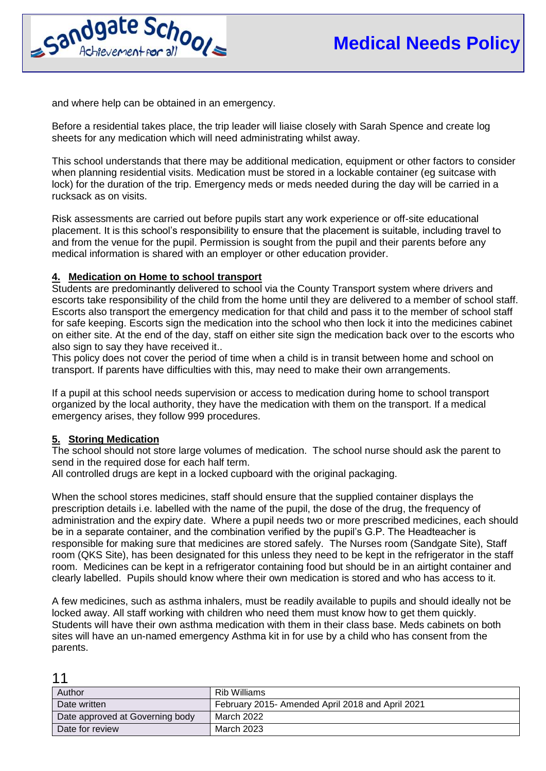

and where help can be obtained in an emergency.

Before a residential takes place, the trip leader will liaise closely with Sarah Spence and create log sheets for any medication which will need administrating whilst away.

This school understands that there may be additional medication, equipment or other factors to consider when planning residential visits. Medication must be stored in a lockable container (eg suitcase with lock) for the duration of the trip. Emergency meds or meds needed during the day will be carried in a rucksack as on visits.

Risk assessments are carried out before pupils start any work experience or off-site educational placement. It is this school's responsibility to ensure that the placement is suitable, including travel to and from the venue for the pupil. Permission is sought from the pupil and their parents before any medical information is shared with an employer or other education provider.

# **4. Medication on Home to school transport**

Students are predominantly delivered to school via the County Transport system where drivers and escorts take responsibility of the child from the home until they are delivered to a member of school staff. Escorts also transport the emergency medication for that child and pass it to the member of school staff for safe keeping. Escorts sign the medication into the school who then lock it into the medicines cabinet on either site. At the end of the day, staff on either site sign the medication back over to the escorts who also sign to say they have received it...

This policy does not cover the period of time when a child is in transit between home and school on transport. If parents have difficulties with this, may need to make their own arrangements.

If a pupil at this school needs supervision or access to medication during home to school transport organized by the local authority, they have the medication with them on the transport. If a medical emergency arises, they follow 999 procedures.

# **5. Storing Medication**

The school should not store large volumes of medication. The school nurse should ask the parent to send in the required dose for each half term.

All controlled drugs are kept in a locked cupboard with the original packaging.

When the school stores medicines, staff should ensure that the supplied container displays the prescription details i.e. labelled with the name of the pupil, the dose of the drug, the frequency of administration and the expiry date. Where a pupil needs two or more prescribed medicines, each should be in a separate container, and the combination verified by the pupil's G.P. The Headteacher is responsible for making sure that medicines are stored safely. The Nurses room (Sandgate Site), Staff room (QKS Site), has been designated for this unless they need to be kept in the refrigerator in the staff room. Medicines can be kept in a refrigerator containing food but should be in an airtight container and clearly labelled. Pupils should know where their own medication is stored and who has access to it.

A few medicines, such as asthma inhalers, must be readily available to pupils and should ideally not be locked away. All staff working with children who need them must know how to get them quickly. Students will have their own asthma medication with them in their class base. Meds cabinets on both sites will have an un-named emergency Asthma kit in for use by a child who has consent from the parents.

| Author                          | Rib Williams                                     |
|---------------------------------|--------------------------------------------------|
| Date written                    | February 2015- Amended April 2018 and April 2021 |
| Date approved at Governing body | March 2022                                       |
| Date for review                 | March 2023                                       |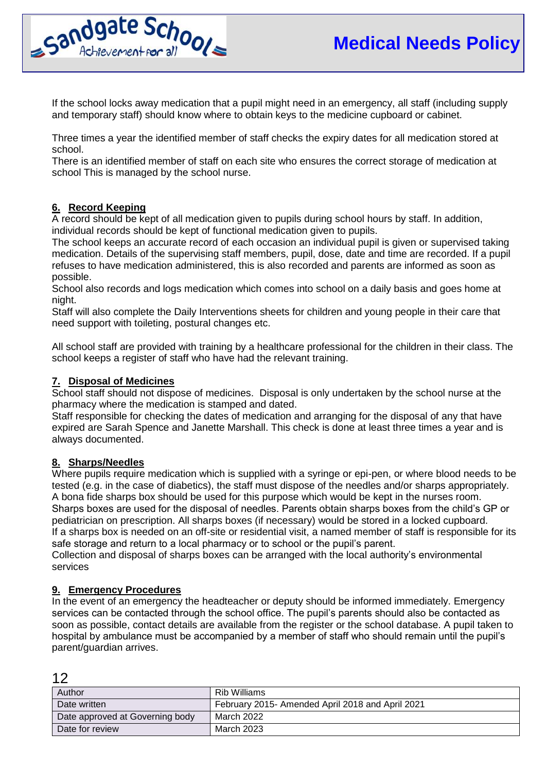

If the school locks away medication that a pupil might need in an emergency, all staff (including supply and temporary staff) should know where to obtain keys to the medicine cupboard or cabinet.

Three times a year the identified member of staff checks the expiry dates for all medication stored at school.

There is an identified member of staff on each site who ensures the correct storage of medication at school This is managed by the school nurse.

# **6. Record Keeping**

A record should be kept of all medication given to pupils during school hours by staff. In addition, individual records should be kept of functional medication given to pupils.

The school keeps an accurate record of each occasion an individual pupil is given or supervised taking medication. Details of the supervising staff members, pupil, dose, date and time are recorded. If a pupil refuses to have medication administered, this is also recorded and parents are informed as soon as possible.

School also records and logs medication which comes into school on a daily basis and goes home at night.

Staff will also complete the Daily Interventions sheets for children and young people in their care that need support with toileting, postural changes etc.

All school staff are provided with training by a healthcare professional for the children in their class. The school keeps a register of staff who have had the relevant training.

## **7. Disposal of Medicines**

School staff should not dispose of medicines. Disposal is only undertaken by the school nurse at the pharmacy where the medication is stamped and dated.

Staff responsible for checking the dates of medication and arranging for the disposal of any that have expired are Sarah Spence and Janette Marshall. This check is done at least three times a year and is always documented.

#### **8. Sharps/Needles**

Where pupils require medication which is supplied with a syringe or epi-pen, or where blood needs to be tested (e.g. in the case of diabetics), the staff must dispose of the needles and/or sharps appropriately. A bona fide sharps box should be used for this purpose which would be kept in the nurses room. Sharps boxes are used for the disposal of needles. Parents obtain sharps boxes from the child's GP or pediatrician on prescription. All sharps boxes (if necessary) would be stored in a locked cupboard. If a sharps box is needed on an off-site or residential visit, a named member of staff is responsible for its safe storage and return to a local pharmacy or to school or the pupil's parent.

Collection and disposal of sharps boxes can be arranged with the local authority's environmental services

#### **9. Emergency Procedures**

 $12$ 

In the event of an emergency the headteacher or deputy should be informed immediately. Emergency services can be contacted through the school office. The pupil's parents should also be contacted as soon as possible, contact details are available from the register or the school database. A pupil taken to hospital by ambulance must be accompanied by a member of staff who should remain until the pupil's parent/guardian arrives.

| Author                          | Rib Williams                                     |
|---------------------------------|--------------------------------------------------|
| Date written                    | February 2015- Amended April 2018 and April 2021 |
| Date approved at Governing body | March 2022                                       |
| Date for review                 | March 2023                                       |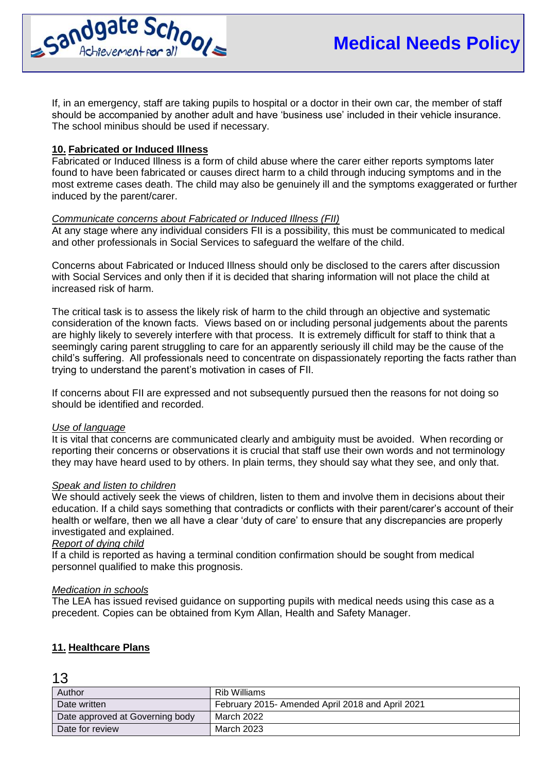

If, in an emergency, staff are taking pupils to hospital or a doctor in their own car, the member of staff should be accompanied by another adult and have 'business use' included in their vehicle insurance. The school minibus should be used if necessary.

## **10. Fabricated or Induced Illness**

Fabricated or Induced Illness is a form of child abuse where the carer either reports symptoms later found to have been fabricated or causes direct harm to a child through inducing symptoms and in the most extreme cases death. The child may also be genuinely ill and the symptoms exaggerated or further induced by the parent/carer.

## *Communicate concerns about Fabricated or Induced Illness (FII)*

At any stage where any individual considers FII is a possibility, this must be communicated to medical and other professionals in Social Services to safeguard the welfare of the child.

Concerns about Fabricated or Induced Illness should only be disclosed to the carers after discussion with Social Services and only then if it is decided that sharing information will not place the child at increased risk of harm.

The critical task is to assess the likely risk of harm to the child through an objective and systematic consideration of the known facts. Views based on or including personal judgements about the parents are highly likely to severely interfere with that process. It is extremely difficult for staff to think that a seemingly caring parent struggling to care for an apparently seriously ill child may be the cause of the child's suffering. All professionals need to concentrate on dispassionately reporting the facts rather than trying to understand the parent's motivation in cases of FII.

If concerns about FII are expressed and not subsequently pursued then the reasons for not doing so should be identified and recorded.

#### *Use of language*

It is vital that concerns are communicated clearly and ambiguity must be avoided. When recording or reporting their concerns or observations it is crucial that staff use their own words and not terminology they may have heard used to by others. In plain terms, they should say what they see, and only that.

#### *Speak and listen to children*

We should actively seek the views of children, listen to them and involve them in decisions about their education. If a child says something that contradicts or conflicts with their parent/carer's account of their health or welfare, then we all have a clear 'duty of care' to ensure that any discrepancies are properly investigated and explained.

# *Report of dying child*

If a child is reported as having a terminal condition confirmation should be sought from medical personnel qualified to make this prognosis.

#### *Medication in schools*

The LEA has issued revised guidance on supporting pupils with medical needs using this case as a precedent. Copies can be obtained from Kym Allan, Health and Safety Manager.

#### **11. Healthcare Plans**

| .                               |                                                  |
|---------------------------------|--------------------------------------------------|
| Author                          | Rib Williams                                     |
| Date written                    | February 2015- Amended April 2018 and April 2021 |
| Date approved at Governing body | March 2022                                       |
| Date for review                 | March 2023                                       |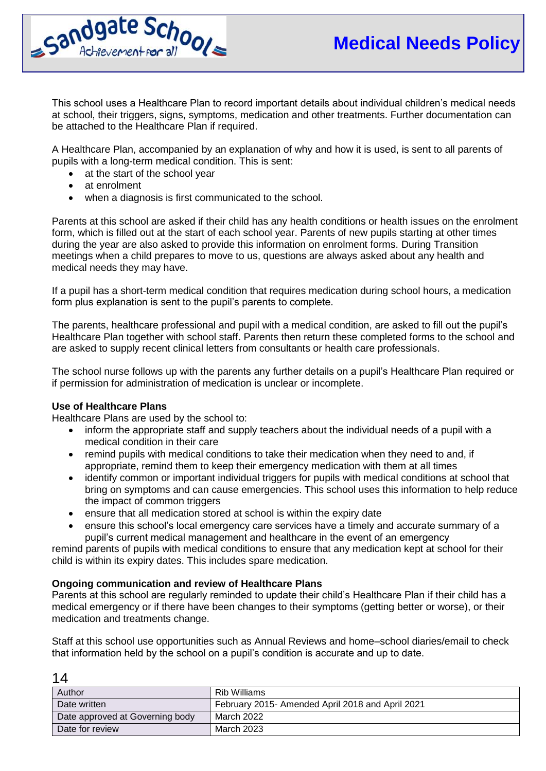

This school uses a Healthcare Plan to record important details about individual children's medical needs at school, their triggers, signs, symptoms, medication and other treatments. Further documentation can be attached to the Healthcare Plan if required.

A Healthcare Plan, accompanied by an explanation of why and how it is used, is sent to all parents of pupils with a long-term medical condition. This is sent:

- at the start of the school year
- at enrolment
- when a diagnosis is first communicated to the school.

Parents at this school are asked if their child has any health conditions or health issues on the enrolment form, which is filled out at the start of each school year. Parents of new pupils starting at other times during the year are also asked to provide this information on enrolment forms. During Transition meetings when a child prepares to move to us, questions are always asked about any health and medical needs they may have.

If a pupil has a short-term medical condition that requires medication during school hours, a medication form plus explanation is sent to the pupil's parents to complete.

The parents, healthcare professional and pupil with a medical condition, are asked to fill out the pupil's Healthcare Plan together with school staff. Parents then return these completed forms to the school and are asked to supply recent clinical letters from consultants or health care professionals.

The school nurse follows up with the parents any further details on a pupil's Healthcare Plan required or if permission for administration of medication is unclear or incomplete.

#### **Use of Healthcare Plans**

 $1<sub>1</sub>$ 

Healthcare Plans are used by the school to:

- inform the appropriate staff and supply teachers about the individual needs of a pupil with a medical condition in their care
- remind pupils with medical conditions to take their medication when they need to and, if appropriate, remind them to keep their emergency medication with them at all times
- identify common or important individual triggers for pupils with medical conditions at school that bring on symptoms and can cause emergencies. This school uses this information to help reduce the impact of common triggers
- ensure that all medication stored at school is within the expiry date
- ensure this school's local emergency care services have a timely and accurate summary of a pupil's current medical management and healthcare in the event of an emergency

remind parents of pupils with medical conditions to ensure that any medication kept at school for their child is within its expiry dates. This includes spare medication.

#### **Ongoing communication and review of Healthcare Plans**

Parents at this school are regularly reminded to update their child's Healthcare Plan if their child has a medical emergency or if there have been changes to their symptoms (getting better or worse), or their medication and treatments change.

Staff at this school use opportunities such as Annual Reviews and home–school diaries/email to check that information held by the school on a pupil's condition is accurate and up to date.

| $\overline{\phantom{a}}$        |                                                  |
|---------------------------------|--------------------------------------------------|
| Author                          | Rib Williams                                     |
| Date written                    | February 2015- Amended April 2018 and April 2021 |
| Date approved at Governing body | March 2022                                       |
| Date for review                 | March 2023                                       |